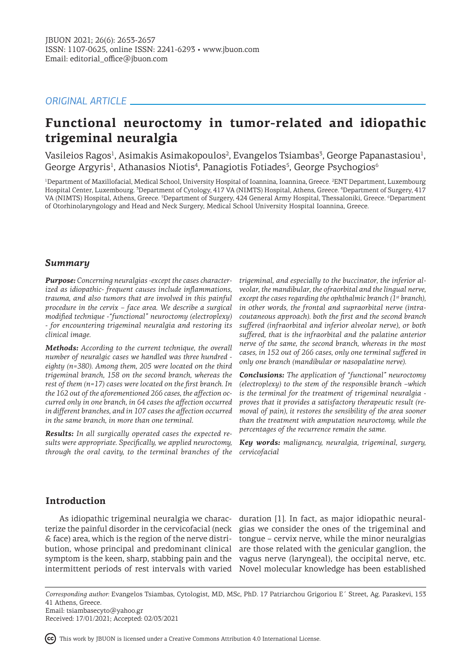# *ORIGINAL ARTICLE*

# **Functional neuroctomy in tumor-related and idiopathic trigeminal neuralgia**

Vasileios Ragos<sup>1</sup>, Asimakis Asimakopoulos<sup>2</sup>, Evangelos Tsiambas<sup>3</sup>, George Papanastasiou<sup>1</sup>, George Argyris<sup>1</sup>, Athanasios Niotis<sup>4</sup>, Panagiotis Fotiades<sup>5</sup>, George Psychogios<sup>6</sup>

<sup>1</sup>Department of Maxillofacial, Medical School, University Hospital of Ioannina, Ioannina, Greece. <sup>2</sup>ENT Department, Luxembourg Hospital Center, Luxembourg. <sup>3</sup> Department of Cytology, 417 VA (NIMTS) Hospital, Athens, Greece. <sup>4</sup> Department of Surgery, 417 VA (NIMTS) Hospital, Athens, Greece. <sup>5</sup>Department of Surgery, 424 General Army Hospital, Thessaloniki, Greece. <sup>6</sup>Department of Otorhinolaryngology and Head and Neck Surgery, Medical School University Hospital Ioannina, Greece.

# *Summary*

*Purpose: Concerning neuralgias -except the cases characterized as idiopathic- frequent causes include inflammations, trauma, and also tumors that are involved in this painful procedure in the cervix – face area. We describe a surgical modified technique -"functional" neuroctomy (electroplexy) - for encountering trigeminal neuralgia and restoring its clinical image.* 

*Methods: According to the current technique, the overall number of neuralgic cases we handled was three hundred eighty (n=380). Among them, 205 were located on the third trigeminal branch, 158 on the second branch, whereas the rest of them (n=17) cases were located on the first branch. In the 162 out of the aforementioned 266 cases, the affection occurred only in one branch, in 64 cases the affection occurred in different branches, and in 107 cases the affection occurred in the same branch, in more than one terminal.*

*Results: In all surgically operated cases the expected results were appropriate. Specifically, we applied neuroctomy, through the oral cavity, to the terminal branches of the* 

*trigeminal, and especially to the buccinator, the inferior alveolar, the mandibular, the ofraorbital and the lingual nerve, except the cases regarding the ophthalmic branch (1st branch), in other words, the frontal and supraorbital nerve (intracoutaneous approach). both the first and the second branch suffered (infraorbital and inferior alveolar nerve), or both suffered, that is the infraorbital and the palatine anterior nerve of the same, the second branch, whereas in the most cases, in 152 out of 266 cases, only one terminal suffered in only one branch (mandibular or nasopalatine nerve).* 

*Conclusions: The application of "functional" neuroctomy (electroplexy) to the stem of the responsible branch –which is the terminal for the treatment of trigeminal neuralgia proves that it provides a satisfactory therapeutic result (removal of pain), it restores the sensibility of the area sooner than the treatment with amputation neuroctomy, while the percentages of the recurrence remain the same.*

*Key words: malignancy, neuralgia, trigeminal, surgery, cervicofacial*

# **Introduction**

As idiopathic trigeminal neuralgia we charac-duration [1]. In fact, as major idiopathic neuralterize the painful disorder in the cervicofacial (neck gias we consider the ones of the trigeminal and & face) area, which is the region of the nerve distri-tongue – cervix nerve, while the minor neuralgias bution, whose principal and predominant clinical are those related with the genicular ganglion, the symptom is the keen, sharp, stabbing pain and the vagus nerve (laryngeal), the occipital nerve, etc. intermittent periods of rest intervals with varied Novel molecular knowledge has been established

*Corresponding author:* Evangelos Tsiambas, Cytologist, MD, MSc, PhD. 17 Patriarchou Grigoriou E΄ Street, Ag. Paraskevi, 153 41 Athens, Greece. Email: tsiambasecyto@yahoo.gr

Received: 17/01/2021; Accepted: 02/03/2021

This work by JBUON is licensed under a Creative Commons Attribution 4.0 International License.

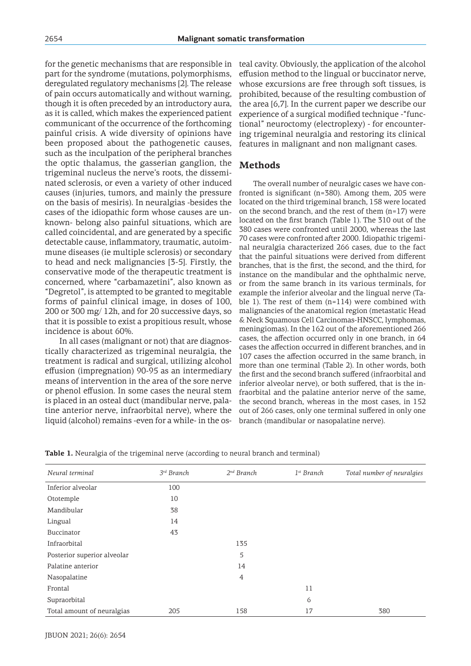for the genetic mechanisms that are responsible in part for the syndrome (mutations, polymorphisms, deregulated regulatory mechanisms [2]. The release of pain occurs automatically and without warning, though it is often preceded by an introductory aura, as it is called, which makes the experienced patient communicant of the occurrence of the forthcoming painful crisis. A wide diversity of opinions have been proposed about the pathogenetic causes, such as the inculpation of the peripheral branches the optic thalamus, the gasserian ganglion, the trigeminal nucleus the nerve's roots, the disseminated sclerosis, or even a variety of other induced causes (injuries, tumors, and mainly the pressure on the basis of mesiris). In neuralgias -besides the cases of the idiopathic form whose causes are unknown- belong also painful situations, which are called coincidental, and are generated by a specific detectable cause, inflammatory, traumatic, autoimmune diseases (ie multiple sclerosis) or secondary to head and neck malignancies [3-5]. Firstly, the conservative mode of the therapeutic treatment is concerned, where "carbamazetini", also known as "Degretol", is attempted to be granted to megitable forms of painful clinical image, in doses of 100, 200 or 300 mg/ 12h, and for 20 successive days, so that it is possible to exist a propitious result, whose incidence is about 60%.

In all cases (malignant or not) that are diagnostically characterized as trigeminal neuralgia, the treatment is radical and surgical, utilizing alcohol effusion (impregnation) 90-95 as an intermediary means of intervention in the area of the sore nerve or phenol effusion. In some cases the neural stem is placed in an osteal duct (mandibular nerve, palatine anterior nerve, infraorbital nerve), where the liquid (alcohol) remains -even for a while- in the osteal cavity. Obviously, the application of the alcohol effusion method to the lingual or buccinator nerve, whose excursions are free through soft tissues, is prohibited, because of the resulting combustion of the area [6,7]. In the current paper we describe our experience of a surgical modified technique -"functional" neuroctomy (electroplexy) - for encountering trigeminal neuralgia and restoring its clinical features in malignant and non malignant cases.

# **Methods**

The overall number of neuralgic cases we have confronted is significant (n=380). Among them, 205 were located on the third trigeminal branch, 158 were located on the second branch, and the rest of them (n=17) were located on the first branch (Table 1). The 310 out of the 380 cases were confronted until 2000, whereas the last 70 cases were confronted after 2000. Idiopathic trigeminal neuralgia characterized 266 cases, due to the fact that the painful situations were derived from different branches, that is the first, the second, and the third, for instance on the mandibular and the ophthalmic nerve, or from the same branch in its various terminals, for example the inferior alveolar and the lingual nerve (Table 1). The rest of them (n=114) were combined with malignancies of the anatomical region (metastatic Head & Neck Squamous Cell Carcinomas-HNSCC, lymphomas, meningiomas). In the 162 out of the aforementioned 266 cases, the affection occurred only in one branch, in 64 cases the affection occurred in different branches, and in 107 cases the affection occurred in the same branch, in more than one terminal (Table 2). In other words, both the first and the second branch suffered (infraorbital and inferior alveolar nerve), or both suffered, that is the infraorbital and the palatine anterior nerve of the same, the second branch, whereas in the most cases, in 152 out of 266 cases, only one terminal suffered in only one branch (mandibular or nasopalatine nerve).

|  |  | Table 1. Neuralgia of the trigeminal nerve (according to neural branch and terminal) |
|--|--|--------------------------------------------------------------------------------------|
|  |  |                                                                                      |

| Neural terminal             | $3^{rd}$ Branch | $2nd$ Branch | $1^{st}$ Branch | Total number of neuralgies |
|-----------------------------|-----------------|--------------|-----------------|----------------------------|
| Inferior alveolar           | 100             |              |                 |                            |
| Ototemple                   | 10              |              |                 |                            |
| Mandibular                  | 38              |              |                 |                            |
| Lingual                     | 14              |              |                 |                            |
| Buccinator                  | 43              |              |                 |                            |
| Infraorbital                |                 | 135          |                 |                            |
| Posterior superior alveolar |                 | 5            |                 |                            |
| Palatine anterior           |                 | 14           |                 |                            |
| Nasopalatine                |                 | 4            |                 |                            |
| Frontal                     |                 |              | 11              |                            |
| Supraorbital                |                 |              | 6               |                            |
| Total amount of neuralgias  | 205             | 158          | 17              | 380                        |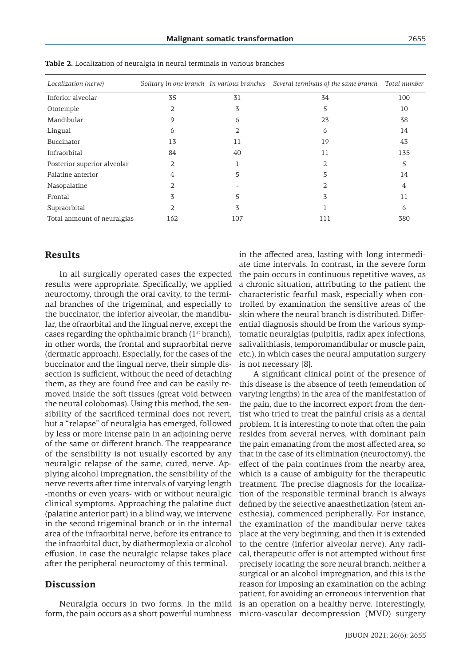| Localization (nerve)        |          |          | Solitary in one branch In various branches Several terminals of the same branch Total number |     |
|-----------------------------|----------|----------|----------------------------------------------------------------------------------------------|-----|
| Inferior alveolar           | 35       | 31       | 34                                                                                           | 100 |
| Ototemple                   | 2        | 3        | 5                                                                                            | 10  |
| Mandibular                  | O,       | $\Omega$ | 23                                                                                           | 38  |
| Lingual                     | $\Omega$ |          | 6                                                                                            | 14  |
| Buccinator                  | 13       | 11       | 19                                                                                           | 43  |
| Infraorbital                | 84       | 40       | 11                                                                                           | 135 |
| Posterior superior alveolar | 2        |          | 2                                                                                            | 5   |
| Palatine anterior           | 4        | 5        | 5                                                                                            | 14  |
| Nasopalatine                | 2        |          |                                                                                              | 4   |
| Frontal                     | 3        | 5        | 3                                                                                            | 11  |
| Supraorbital                | 2        | 3        |                                                                                              | 6   |
| Total anmount of neuralgias | 162      | 107      | 111                                                                                          | 380 |

**Table 2.** Localization of neuralgia in neural terminals in various branches

#### **Results**

In all surgically operated cases the expected results were appropriate. Specifically, we applied neuroctomy, through the oral cavity, to the terminal branches of the trigeminal, and especially to the buccinator, the inferior alveolar, the mandibular, the ofraorbital and the lingual nerve, except the cases regarding the ophthalmic branch  $(1<sup>st</sup> branch)$ , in other words, the frontal and supraorbital nerve (dermatic approach). Especially, for the cases of the buccinator and the lingual nerve, their simple dissection is sufficient, without the need of detaching them, as they are found free and can be easily removed inside the soft tissues (great void between the neural colobomas). Using this method, the sensibility of the sacrificed terminal does not revert, but a "relapse" of neuralgia has emerged, followed by less or more intense pain in an adjoining nerve of the same or different branch. The reappearance of the sensibility is not usually escorted by any neuralgic relapse of the same, cured, nerve. Applying alcohol impregnation, the sensibility of the nerve reverts after time intervals of varying length -months or even years- with or without neuralgic clinical symptoms. Approaching the palatine duct (palatine anterior part) in a blind way, we intervene in the second trigeminal branch or in the internal area of the infraorbital nerve, before its entrance to the infraorbital duct, by diathermoplexia or alcohol effusion, in case the neuralgic relapse takes place after the peripheral neuroctomy of this terminal.

## **Discussion**

Neuralgia occurs in two forms. In the mild form, the pain occurs as a short powerful numbness in the affected area, lasting with long intermediate time intervals. In contrast, in the severe form the pain occurs in continuous repetitive waves, as a chronic situation, attributing to the patient the characteristic fearful mask, especially when controlled by examination the sensitive areas of the skin where the neural branch is distributed. Differential diagnosis should be from the various symptomatic neuralgias (pulpitis, radix apex infections, salivalithiasis, temporomandibular or muscle pain, etc.), in which cases the neural amputation surgery is not necessary [8].

A significant clinical point of the presence of this disease is the absence of teeth (emendation of varying lengths) in the area of the manifestation of the pain, due to the incorrect export from the dentist who tried to treat the painful crisis as a dental problem. It is interesting to note that often the pain resides from several nerves, with dominant pain the pain emanating from the most affected area, so that in the case of its elimination (neuroctomy), the effect of the pain continues from the nearby area, which is a cause of ambiguity for the therapeutic treatment. The precise diagnosis for the localization of the responsible terminal branch is always defined by the selective anaesthetization (stem anesthesia), commenced peripherally. For instance, the examination of the mandibular nerve takes place at the very beginning, and then it is extended to the centre (inferior alveolar nerve). Any radical, therapeutic offer is not attempted without first precisely locating the sore neural branch, neither a surgical or an alcohol impregnation, and this is the reason for imposing an examination on the aching patient, for avoiding an erroneous intervention that is an operation on a healthy nerve. Interestingly, micro-vascular decompression (MVD) surgery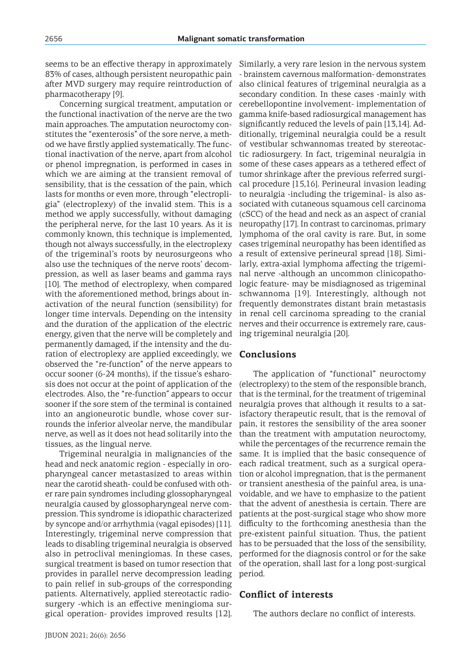seems to be an effective therapy in approximately 83% of cases, although persistent neuropathic pain after MVD surgery may require reintroduction of pharmacotherapy [9].

Concerning surgical treatment, amputation or the functional inactivation of the nerve are the two main approaches. The amputation neuroctomy constitutes the "exenterosis" of the sore nerve, a method we have firstly applied systematically. The functional inactivation of the nerve, apart from alcohol or phenol impregnation, is performed in cases in which we are aiming at the transient removal of sensibility, that is the cessation of the pain, which lasts for months or even more, through "electropligia" (electroplexy) of the invalid stem. This is a method we apply successfully, without damaging the peripheral nerve, for the last 10 years. As it is commonly known, this technique is implemented, though not always successfully, in the electroplexy of the trigeminal's roots by neurosurgeons who also use the techniques of the nerve roots' decompression, as well as laser beams and gamma rays [10]. The method of electroplexy, when compared with the aforementioned method, brings about inactivation of the neural function (sensibility) for longer time intervals. Depending on the intensity and the duration of the application of the electric energy, given that the nerve will be completely and permanently damaged, if the intensity and the duration of electroplexy are applied exceedingly, we observed the "re-function" of the nerve appears to occur sooner (6-24 months), if the tissue's esharosis does not occur at the point of application of the electrodes. Also, the "re-function" appears to occur sooner if the sore stem of the terminal is contained into an angioneurotic bundle, whose cover surrounds the inferior alveolar nerve, the mandibular nerve, as well as it does not head solitarily into the tissues, as the lingual nerve.

Trigeminal neuralgia in malignancies of the head and neck anatomic region - especially in oropharyngeal cancer metastasized to areas within near the carotid sheath- could be confused with other rare pain syndromes including glossopharyngeal neuralgia caused by glossopharyngeal nerve compression. This syndrome is idiopathic characterized by syncope and/or arrhythmia (vagal episodes) [11]. Interestingly, trigeminal nerve compression that leads to disabling trigeminal neuralgia is observed also in petroclival meningiomas. In these cases, surgical treatment is based on tumor resection that provides in parallel nerve decompression leading to pain relief in sub-groups of the corresponding patients. Alternatively, applied stereotactic radiosurgery -which is an effective meningioma surgical operation- provides improved results [12].

Similarly, a very rare lesion in the nervous system - brainstem cavernous malformation- demonstrates also clinical features of trigeminal neuralgia as a secondary condition. In these cases -mainly with cerebellopontine involvement- implementation of gamma knife-based radiosurgical management has significantly reduced the levels of pain [13,14]. Additionally, trigeminal neuralgia could be a result of vestibular schwannomas treated by stereotactic radiosurgery. In fact, trigeminal neuralgia in some of these cases appears as a tethered effect of tumor shrinkage after the previous referred surgical procedure [15,16]. Perineural invasion leading to neuralgia -including the trigeminal- is also associated with cutaneous squamous cell carcinoma (cSCC) of the head and neck as an aspect of cranial neuropathy [17]. In contrast to carcinomas, primary lymphoma of the oral cavity is rare. But, in some cases trigeminal neuropathy has been identified as a result of extensive perineural spread [18]. Similarly, extra-axial lymphoma affecting the trigeminal nerve -although an uncommon clinicopathologic feature- may be misdiagnosed as trigeminal schwannoma [19]. Interestingly, although not frequently demonstrates distant brain metastasis in renal cell carcinoma spreading to the cranial nerves and their occurrence is extremely rare, causing trigeminal neuralgia [20].

## **Conclusions**

The application of "functional" neuroctomy (electroplexy) to the stem of the responsible branch, that is the terminal, for the treatment of trigeminal neuralgia proves that although it results to a satisfactory therapeutic result, that is the removal of pain, it restores the sensibility of the area sooner than the treatment with amputation neuroctomy, while the percentages of the recurrence remain the same. It is implied that the basic consequence of each radical treatment, such as a surgical operation or alcohol impregnation, that is the permanent or transient anesthesia of the painful area, is unavoidable, and we have to emphasize to the patient that the advent of anesthesia is certain. There are patients at the post-surgical stage who show more difficulty to the forthcoming anesthesia than the pre-existent painful situation. Thus, the patient has to be persuaded that the loss of the sensibility, performed for the diagnosis control or for the sake of the operation, shall last for a long post-surgical period.

## **Conflict of interests**

The authors declare no conflict of interests.